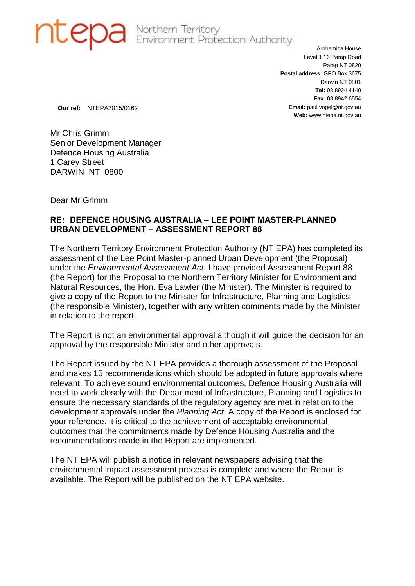

**OB** Northern Territory<br>Environment Protection Authority

Arnhemica House Level 1 16 Parap Road Parap NT 0820 **Postal address:** GPO Box 3675 Darwin NT 0801 **Tel:** 08 8924 4140 **Fax:** 08 8942 6554 **Email:** paul.vogel@nt.gov.au **Web:** www.ntepa.nt.gov.au

**Our ref:** NTEPA2015/0162

Mr Chris Grimm Senior Development Manager Defence Housing Australia 1 Carey Street DARWIN NT 0800

Dear Mr Grimm

## **RE: DEFENCE HOUSING AUSTRALIA – LEE POINT MASTER-PLANNED URBAN DEVELOPMENT – ASSESSMENT REPORT 88**

The Northern Territory Environment Protection Authority (NT EPA) has completed its assessment of the Lee Point Master-planned Urban Development (the Proposal) under the *Environmental Assessment Act*. I have provided Assessment Report 88 (the Report) for the Proposal to the Northern Territory Minister for Environment and Natural Resources, the Hon. Eva Lawler (the Minister). The Minister is required to give a copy of the Report to the Minister for Infrastructure, Planning and Logistics (the responsible Minister), together with any written comments made by the Minister in relation to the report.

The Report is not an environmental approval although it will guide the decision for an approval by the responsible Minister and other approvals.

The Report issued by the NT EPA provides a thorough assessment of the Proposal and makes 15 recommendations which should be adopted in future approvals where relevant. To achieve sound environmental outcomes, Defence Housing Australia will need to work closely with the Department of Infrastructure, Planning and Logistics to ensure the necessary standards of the regulatory agency are met in relation to the development approvals under the *Planning Act*. A copy of the Report is enclosed for your reference. It is critical to the achievement of acceptable environmental outcomes that the commitments made by Defence Housing Australia and the recommendations made in the Report are implemented.

The NT EPA will publish a notice in relevant newspapers advising that the environmental impact assessment process is complete and where the Report is available. The Report will be published on the NT EPA website.